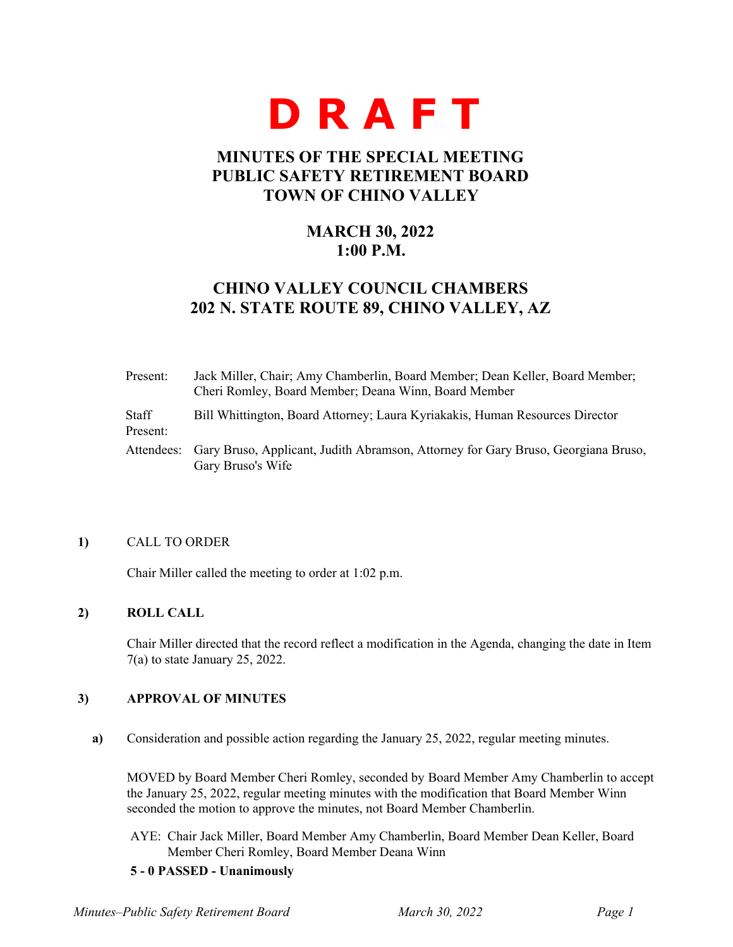

# **MINUTES OF THE SPECIAL MEETING PUBLIC SAFETY RETIREMENT BOARD TOWN OF CHINO VALLEY**

# **MARCH 30, 2022 1:00 P.M.**

# **CHINO VALLEY COUNCIL CHAMBERS 202 N. STATE ROUTE 89, CHINO VALLEY, AZ**

| Present:          | Jack Miller, Chair; Amy Chamberlin, Board Member; Dean Keller, Board Member;<br>Cheri Romley, Board Member; Deana Winn, Board Member |
|-------------------|--------------------------------------------------------------------------------------------------------------------------------------|
| Staff<br>Present: | Bill Whittington, Board Attorney; Laura Kyriakakis, Human Resources Director                                                         |
|                   | Attendees: Gary Bruso, Applicant, Judith Abramson, Attorney for Gary Bruso, Georgiana Bruso,<br>Gary Bruso's Wife                    |

### **1)** CALL TO ORDER

Chair Miller called the meeting to order at 1:02 p.m.

# **2) ROLL CALL**

Chair Miller directed that the record reflect a modification in the Agenda, changing the date in Item 7(a) to state January 25, 2022.

# **3) APPROVAL OF MINUTES**

**a)** Consideration and possible action regarding the January 25, 2022, regular meeting minutes.

MOVED by Board Member Cheri Romley, seconded by Board Member Amy Chamberlin to accept the January 25, 2022, regular meeting minutes with the modification that Board Member Winn seconded the motion to approve the minutes, not Board Member Chamberlin.

AYE: Chair Jack Miller, Board Member Amy Chamberlin, Board Member Dean Keller, Board Member Cheri Romley, Board Member Deana Winn

### **5 - 0 PASSED - Unanimously**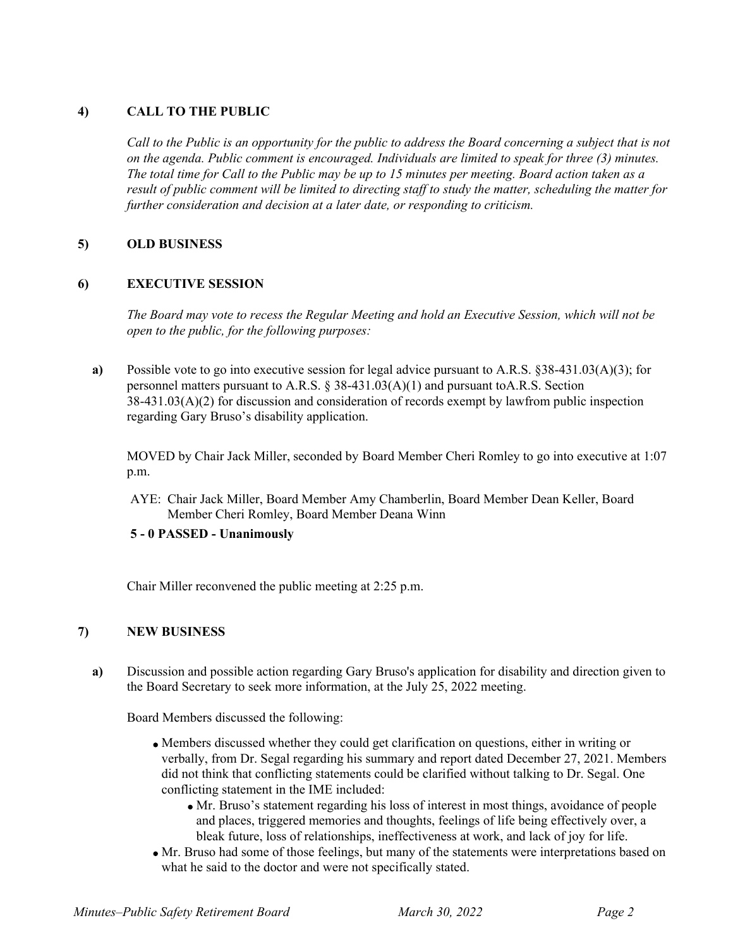# **4) CALL TO THE PUBLIC**

*Call to the Public is an opportunity for the public to address the Board concerning a subject that is not on the agenda. Public comment is encouraged. Individuals are limited to speak for three (3) minutes. The total time for Call to the Public may be up to 15 minutes per meeting. Board action taken as a result of public comment will be limited to directing staff to study the matter, scheduling the matter for further consideration and decision at a later date, or responding to criticism.*

# **5) OLD BUSINESS**

# **6) EXECUTIVE SESSION**

*The Board may vote to recess the Regular Meeting and hold an Executive Session, which will not be open to the public, for the following purposes:*

**a)** Possible vote to go into executive session for legal advice pursuant to A.R.S. §38-431.03(A)(3); for personnel matters pursuant to A.R.S. § 38-431.03(A)(1) and pursuant to A.R.S. Section 38-431.03(A)(2) for discussion and consideration of records exempt by lawfrom public inspection regarding Gary Bruso's disability application.

MOVED by Chair Jack Miller, seconded by Board Member Cheri Romley to go into executive at 1:07 p.m.

AYE: Chair Jack Miller, Board Member Amy Chamberlin, Board Member Dean Keller, Board Member Cheri Romley, Board Member Deana Winn

# **5 - 0 PASSED - Unanimously**

Chair Miller reconvened the public meeting at 2:25 p.m.

# **7) NEW BUSINESS**

**a)** Discussion and possible action regarding Gary Bruso's application for disability and direction given to the Board Secretary to seek more information, at the July 25, 2022 meeting.

Board Members discussed the following:

- Members discussed whether they could get clarification on questions, either in writing or verbally, from Dr. Segal regarding his summary and report dated December 27, 2021. Members did not think that conflicting statements could be clarified without talking to Dr. Segal. One conflicting statement in the IME included:
	- Mr. Bruso's statement regarding his loss of interest in most things, avoidance of people and places, triggered memories and thoughts, feelings of life being effectively over, a bleak future, loss of relationships, ineffectiveness at work, and lack of joy for life.
- Mr. Bruso had some of those feelings, but many of the statements were interpretations based on what he said to the doctor and were not specifically stated.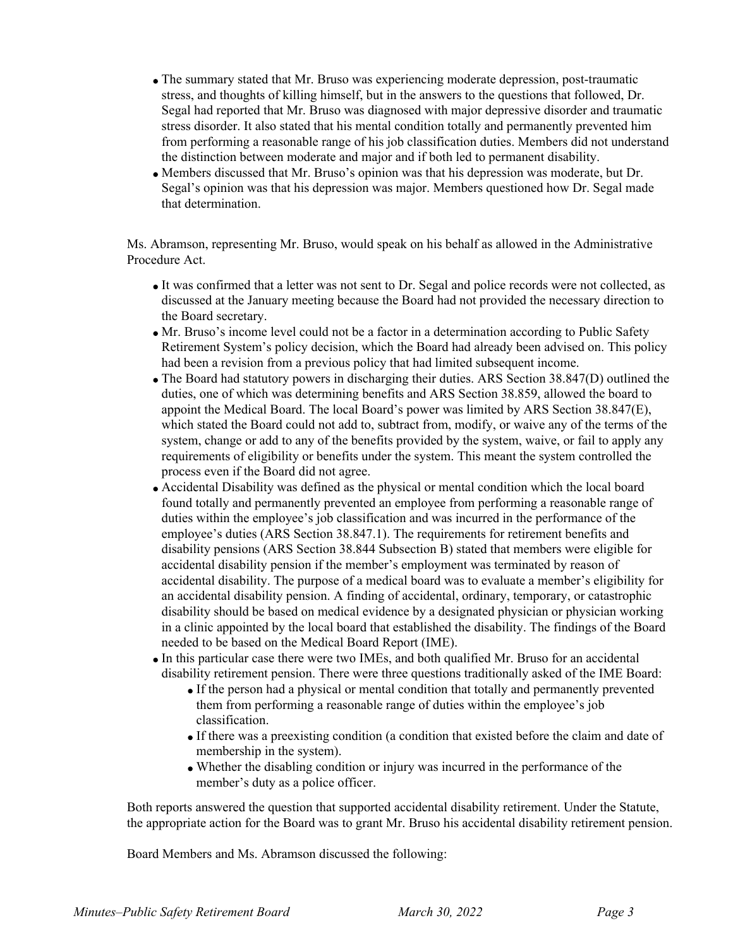- The summary stated that Mr. Bruso was experiencing moderate depression, post-traumatic stress, and thoughts of killing himself, but in the answers to the questions that followed, Dr. Segal had reported that Mr. Bruso was diagnosed with major depressive disorder and traumatic stress disorder. It also stated that his mental condition totally and permanently prevented him from performing a reasonable range of his job classification duties. Members did not understand the distinction between moderate and major and if both led to permanent disability.
- Members discussed that Mr. Bruso's opinion was that his depression was moderate, but Dr. Segal's opinion was that his depression was major. Members questioned how Dr. Segal made that determination.

Ms. Abramson, representing Mr. Bruso, would speak on his behalf as allowed in the Administrative Procedure Act.

- It was confirmed that a letter was not sent to Dr. Segal and police records were not collected, as discussed at the January meeting because the Board had not provided the necessary direction to the Board secretary.
- Mr. Bruso's income level could not be a factor in a determination according to Public Safety Retirement System's policy decision, which the Board had already been advised on. This policy had been a revision from a previous policy that had limited subsequent income.
- The Board had statutory powers in discharging their duties. ARS Section 38.847(D) outlined the duties, one of which was determining benefits and ARS Section 38.859, allowed the board to appoint the Medical Board. The local Board's power was limited by ARS Section 38.847(E), which stated the Board could not add to, subtract from, modify, or waive any of the terms of the system, change or add to any of the benefits provided by the system, waive, or fail to apply any requirements of eligibility or benefits under the system. This meant the system controlled the process even if the Board did not agree.
- Accidental Disability was defined as the physical or mental condition which the local board found totally and permanently prevented an employee from performing a reasonable range of duties within the employee's job classification and was incurred in the performance of the employee's duties (ARS Section 38.847.1). The requirements for retirement benefits and disability pensions (ARS Section 38.844 Subsection B) stated that members were eligible for accidental disability pension if the member's employment was terminated by reason of accidental disability. The purpose of a medical board was to evaluate a member's eligibility for an accidental disability pension. A finding of accidental, ordinary, temporary, or catastrophic disability should be based on medical evidence by a designated physician or physician working in a clinic appointed by the local board that established the disability. The findings of the Board needed to be based on the Medical Board Report (IME).
- In this particular case there were two IMEs, and both qualified Mr. Bruso for an accidental disability retirement pension. There were three questions traditionally asked of the IME Board:
	- If the person had a physical or mental condition that totally and permanently prevented them from performing a reasonable range of duties within the employee's job classification.
	- If there was a preexisting condition (a condition that existed before the claim and date of membership in the system).
	- Whether the disabling condition or injury was incurred in the performance of the member's duty as a police officer.

Both reports answered the question that supported accidental disability retirement. Under the Statute, the appropriate action for the Board was to grant Mr. Bruso his accidental disability retirement pension.

Board Members and Ms. Abramson discussed the following: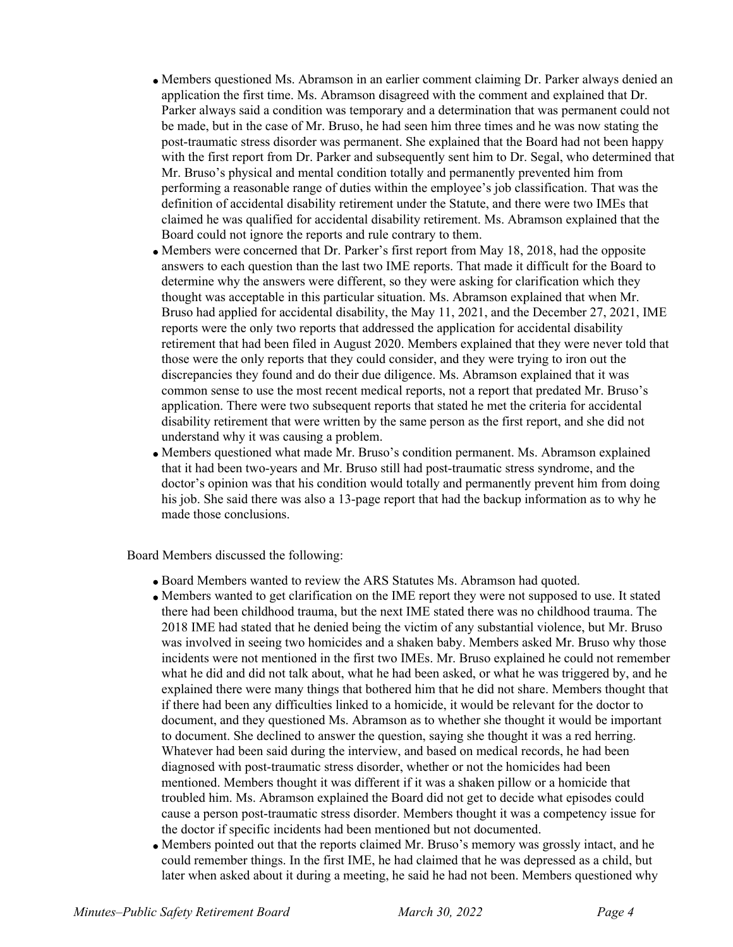- Members questioned Ms. Abramson in an earlier comment claiming Dr. Parker always denied an application the first time. Ms. Abramson disagreed with the comment and explained that Dr. Parker always said a condition was temporary and a determination that was permanent could not be made, but in the case of Mr. Bruso, he had seen him three times and he was now stating the post-traumatic stress disorder was permanent. She explained that the Board had not been happy with the first report from Dr. Parker and subsequently sent him to Dr. Segal, who determined that Mr. Bruso's physical and mental condition totally and permanently prevented him from performing a reasonable range of duties within the employee's job classification. That was the definition of accidental disability retirement under the Statute, and there were two IMEs that claimed he was qualified for accidental disability retirement. Ms. Abramson explained that the Board could not ignore the reports and rule contrary to them.
- Members were concerned that Dr. Parker's first report from May 18, 2018, had the opposite answers to each question than the last two IME reports. That made it difficult for the Board to determine why the answers were different, so they were asking for clarification which they thought was acceptable in this particular situation. Ms. Abramson explained that when Mr. Bruso had applied for accidental disability, the May 11, 2021, and the December 27, 2021, IME reports were the only two reports that addressed the application for accidental disability retirement that had been filed in August 2020. Members explained that they were never told that those were the only reports that they could consider, and they were trying to iron out the discrepancies they found and do their due diligence. Ms. Abramson explained that it was common sense to use the most recent medical reports, not a report that predated Mr. Bruso's application. There were two subsequent reports that stated he met the criteria for accidental disability retirement that were written by the same person as the first report, and she did not understand why it was causing a problem.
- Members questioned what made Mr. Bruso's condition permanent. Ms. Abramson explained that it had been two-years and Mr. Bruso still had post-traumatic stress syndrome, and the doctor's opinion was that his condition would totally and permanently prevent him from doing his job. She said there was also a 13-page report that had the backup information as to why he made those conclusions.

Board Members discussed the following:

- Board Members wanted to review the ARS Statutes Ms. Abramson had quoted.
- Members wanted to get clarification on the IME report they were not supposed to use. It stated there had been childhood trauma, but the next IME stated there was no childhood trauma. The 2018 IME had stated that he denied being the victim of any substantial violence, but Mr. Bruso was involved in seeing two homicides and a shaken baby. Members asked Mr. Bruso why those incidents were not mentioned in the first two IMEs. Mr. Bruso explained he could not remember what he did and did not talk about, what he had been asked, or what he was triggered by, and he explained there were many things that bothered him that he did not share. Members thought that if there had been any difficulties linked to a homicide, it would be relevant for the doctor to document, and they questioned Ms. Abramson as to whether she thought it would be important to document. She declined to answer the question, saying she thought it was a red herring. Whatever had been said during the interview, and based on medical records, he had been diagnosed with post-traumatic stress disorder, whether or not the homicides had been mentioned. Members thought it was different if it was a shaken pillow or a homicide that troubled him. Ms. Abramson explained the Board did not get to decide what episodes could cause a person post-traumatic stress disorder. Members thought it was a competency issue for the doctor if specific incidents had been mentioned but not documented.
- Members pointed out that the reports claimed Mr. Bruso's memory was grossly intact, and he could remember things. In the first IME, he had claimed that he was depressed as a child, but later when asked about it during a meeting, he said he had not been. Members questioned why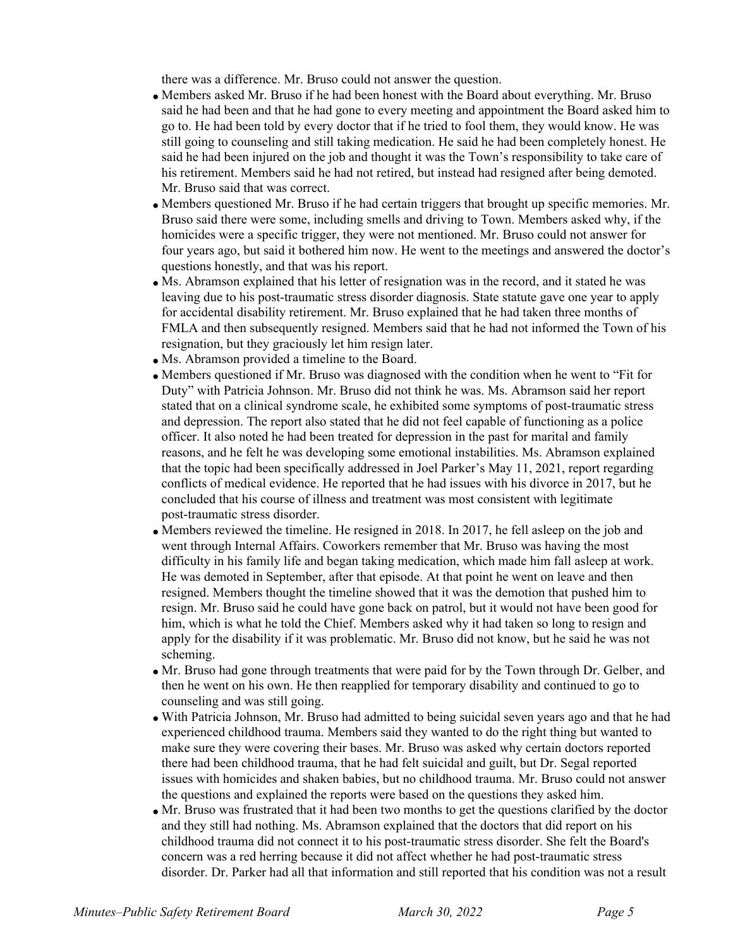there was a difference. Mr. Bruso could not answer the question.

- Members asked Mr. Bruso if he had been honest with the Board about everything. Mr. Bruso said he had been and that he had gone to every meeting and appointment the Board asked him to go to. He had been told by every doctor that if he tried to fool them, they would know. He was still going to counseling and still taking medication. He said he had been completely honest. He said he had been injured on the job and thought it was the Town's responsibility to take care of his retirement. Members said he had not retired, but instead had resigned after being demoted. Mr. Bruso said that was correct.
- Members questioned Mr. Bruso if he had certain triggers that brought up specific memories. Mr. Bruso said there were some, including smells and driving to Town. Members asked why, if the homicides were a specific trigger, they were not mentioned. Mr. Bruso could not answer for four years ago, but said it bothered him now. He went to the meetings and answered the doctor's questions honestly, and that was his report.
- Ms. Abramson explained that his letter of resignation was in the record, and it stated he was leaving due to his post-traumatic stress disorder diagnosis. State statute gave one year to apply for accidental disability retirement. Mr. Bruso explained that he had taken three months of FMLA and then subsequently resigned. Members said that he had not informed the Town of his resignation, but they graciously let him resign later.
- Ms. Abramson provided a timeline to the Board.
- Members questioned if Mr. Bruso was diagnosed with the condition when he went to "Fit for Duty" with Patricia Johnson. Mr. Bruso did not think he was. Ms. Abramson said her report stated that on a clinical syndrome scale, he exhibited some symptoms of post-traumatic stress and depression. The report also stated that he did not feel capable of functioning as a police officer. It also noted he had been treated for depression in the past for marital and family reasons, and he felt he was developing some emotional instabilities. Ms. Abramson explained that the topic had been specifically addressed in Joel Parker's May 11, 2021, report regarding conflicts of medical evidence. He reported that he had issues with his divorce in 2017, but he concluded that his course of illness and treatment was most consistent with legitimate post-traumatic stress disorder.
- Members reviewed the timeline. He resigned in 2018. In 2017, he fell asleep on the job and went through Internal Affairs. Coworkers remember that Mr. Bruso was having the most difficulty in his family life and began taking medication, which made him fall asleep at work. He was demoted in September, after that episode. At that point he went on leave and then resigned. Members thought the timeline showed that it was the demotion that pushed him to resign. Mr. Bruso said he could have gone back on patrol, but it would not have been good for him, which is what he told the Chief. Members asked why it had taken so long to resign and apply for the disability if it was problematic. Mr. Bruso did not know, but he said he was not scheming.
- Mr. Bruso had gone through treatments that were paid for by the Town through Dr. Gelber, and then he went on his own. He then reapplied for temporary disability and continued to go to counseling and was still going.
- With Patricia Johnson, Mr. Bruso had admitted to being suicidal seven years ago and that he had experienced childhood trauma. Members said they wanted to do the right thing but wanted to make sure they were covering their bases. Mr. Bruso was asked why certain doctors reported there had been childhood trauma, that he had felt suicidal and guilt, but Dr. Segal reported issues with homicides and shaken babies, but no childhood trauma. Mr. Bruso could not answer the questions and explained the reports were based on the questions they asked him.
- Mr. Bruso was frustrated that it had been two months to get the questions clarified by the doctor and they still had nothing. Ms. Abramson explained that the doctors that did report on his childhood trauma did not connect it to his post-traumatic stress disorder. She felt the Board's concern was a red herring because it did not affect whether he had post-traumatic stress disorder. Dr. Parker had all that information and still reported that his condition was not a result